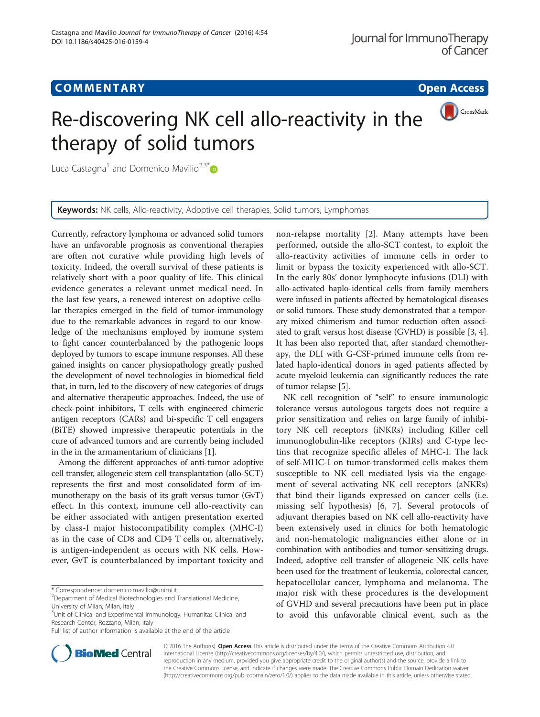# **COMMENTARY COMMENTARY Open Access**

# CrossMark Re-discovering NK cell allo-reactivity in the therapy of solid tumors

Luca Castagna<sup>1</sup> and Domenico Mavilio<sup>2,3[\\*](http://orcid.org/0000-0001-6147-0952)</sup>

Keywords: NK cells, Allo-reactivity, Adoptive cell therapies, Solid tumors, Lymphomas

Currently, refractory lymphoma or advanced solid tumors have an unfavorable prognosis as conventional therapies are often not curative while providing high levels of toxicity. Indeed, the overall survival of these patients is relatively short with a poor quality of life. This clinical evidence generates a relevant unmet medical need. In the last few years, a renewed interest on adoptive cellular therapies emerged in the field of tumor-immunology due to the remarkable advances in regard to our knowledge of the mechanisms employed by immune system to fight cancer counterbalanced by the pathogenic loops deployed by tumors to escape immune responses. All these gained insights on cancer physiopathology greatly pushed the development of novel technologies in biomedical field that, in turn, led to the discovery of new categories of drugs and alternative therapeutic approaches. Indeed, the use of check-point inhibitors, T cells with engineered chimeric antigen receptors (CARs) and bi-specific T cell engagers (BiTE) showed impressive therapeutic potentials in the cure of advanced tumors and are currently being included in the in the armamentarium of clinicians [[1\]](#page-1-0).

Among the different approaches of anti-tumor adoptive cell transfer, allogeneic stem cell transplantation (allo-SCT) represents the first and most consolidated form of immunotherapy on the basis of its graft versus tumor (GvT) effect. In this context, immune cell allo-reactivity can be either associated with antigen presentation exerted by class-I major histocompatibility complex (MHC-I) as in the case of CD8 and CD4 T cells or, alternatively, is antigen-independent as occurs with NK cells. However, GvT is counterbalanced by important toxicity and

<sup>3</sup>Unit of Clinical and Experimental Immunology, Humanitas Clinical and Research Center, Rozzano, Milan, Italy



NK cell recognition of "self" to ensure immunologic tolerance versus autologous targets does not require a prior sensitization and relies on large family of inhibitory NK cell receptors (iNKRs) including Killer cell immunoglobulin-like receptors (KIRs) and C-type lectins that recognize specific alleles of MHC-I. The lack of self-MHC-I on tumor-transformed cells makes them susceptible to NK cell mediated lysis via the engagement of several activating NK cell receptors (aNKRs) that bind their ligands expressed on cancer cells (i.e. missing self hypothesis) [\[6](#page-2-0), [7\]](#page-2-0). Several protocols of adjuvant therapies based on NK cell allo-reactivity have been extensively used in clinics for both hematologic and non-hematologic malignancies either alone or in combination with antibodies and tumor-sensitizing drugs. Indeed, adoptive cell transfer of allogeneic NK cells have been used for the treatment of leukemia, colorectal cancer, hepatocellular cancer, lymphoma and melanoma. The major risk with these procedures is the development of GVHD and several precautions have been put in place to avoid this unfavorable clinical event, such as the



© 2016 The Author(s). Open Access This article is distributed under the terms of the Creative Commons Attribution 4.0 International License [\(http://creativecommons.org/licenses/by/4.0/](http://creativecommons.org/licenses/by/4.0/)), which permits unrestricted use, distribution, and reproduction in any medium, provided you give appropriate credit to the original author(s) and the source, provide a link to the Creative Commons license, and indicate if changes were made. The Creative Commons Public Domain Dedication waiver [\(http://creativecommons.org/publicdomain/zero/1.0/](http://creativecommons.org/publicdomain/zero/1.0/)) applies to the data made available in this article, unless otherwise stated.

<sup>\*</sup> Correspondence: [domenico.mavilio@unimi.it](mailto:domenico.mavilio@unimi.it) <sup>2</sup>

<sup>&</sup>lt;sup>2</sup>Department of Medical Biotechnologies and Translational Medicine, University of Milan, Milan, Italy

Full list of author information is available at the end of the article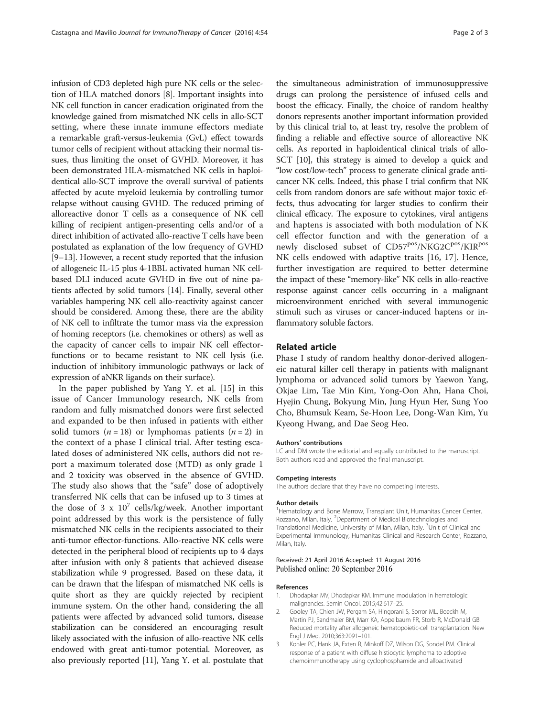<span id="page-1-0"></span>infusion of CD3 depleted high pure NK cells or the selection of HLA matched donors [[8\]](#page-2-0). Important insights into NK cell function in cancer eradication originated from the knowledge gained from mismatched NK cells in allo-SCT setting, where these innate immune effectors mediate a remarkable graft-versus-leukemia (GvL) effect towards tumor cells of recipient without attacking their normal tissues, thus limiting the onset of GVHD. Moreover, it has been demonstrated HLA-mismatched NK cells in haploidentical allo-SCT improve the overall survival of patients affected by acute myeloid leukemia by controlling tumor relapse without causing GVHD. The reduced priming of alloreactive donor T cells as a consequence of NK cell killing of recipient antigen-presenting cells and/or of a direct inhibition of activated allo-reactive T cells have been postulated as explanation of the low frequency of GVHD [[9](#page-2-0)–[13](#page-2-0)]. However, a recent study reported that the infusion of allogeneic IL-15 plus 4-1BBL activated human NK cellbased DLI induced acute GVHD in five out of nine patients affected by solid tumors [[14\]](#page-2-0). Finally, several other variables hampering NK cell allo-reactivity against cancer should be considered. Among these, there are the ability of NK cell to infiltrate the tumor mass via the expression of homing receptors (i.e. chemokines or others) as well as the capacity of cancer cells to impair NK cell effectorfunctions or to became resistant to NK cell lysis (i.e. induction of inhibitory immunologic pathways or lack of expression of aNKR ligands on their surface).

In the paper published by Yang Y. et al. [[15\]](#page-2-0) in this issue of Cancer Immunology research, NK cells from random and fully mismatched donors were first selected and expanded to be then infused in patients with either solid tumors ( $n = 18$ ) or lymphomas patients ( $n = 2$ ) in the context of a phase I clinical trial. After testing escalated doses of administered NK cells, authors did not report a maximum tolerated dose (MTD) as only grade 1 and 2 toxicity was observed in the absence of GVHD. The study also shows that the "safe" dose of adoptively transferred NK cells that can be infused up to 3 times at the dose of 3 x  $10^7$  cells/kg/week. Another important point addressed by this work is the persistence of fully mismatched NK cells in the recipients associated to their anti-tumor effector-functions. Allo-reactive NK cells were detected in the peripheral blood of recipients up to 4 days after infusion with only 8 patients that achieved disease stabilization while 9 progressed. Based on these data, it can be drawn that the lifespan of mismatched NK cells is quite short as they are quickly rejected by recipient immune system. On the other hand, considering the all patients were affected by advanced solid tumors, disease stabilization can be considered an encouraging result likely associated with the infusion of allo-reactive NK cells endowed with great anti-tumor potential. Moreover, as also previously reported [\[11\]](#page-2-0), Yang Y. et al. postulate that

the simultaneous administration of immunosuppressive drugs can prolong the persistence of infused cells and boost the efficacy. Finally, the choice of random healthy donors represents another important information provided by this clinical trial to, at least try, resolve the problem of finding a reliable and effective source of alloreactive NK cells. As reported in haploidentical clinical trials of allo-SCT [\[10\]](#page-2-0), this strategy is aimed to develop a quick and "low cost/low-tech" process to generate clinical grade anticancer NK cells. Indeed, this phase I trial confirm that NK cells from random donors are safe without major toxic effects, thus advocating for larger studies to confirm their clinical efficacy. The exposure to cytokines, viral antigens and haptens is associated with both modulation of NK cell effector function and with the generation of a newly disclosed subset of CD57pos/NKG2Cpos/KIRpos NK cells endowed with adaptive traits [[16](#page-2-0), [17](#page-2-0)]. Hence, further investigation are required to better determine the impact of these "memory-like" NK cells in allo-reactive response against cancer cells occurring in a malignant microenvironment enriched with several immunogenic stimuli such as viruses or cancer-induced haptens or inflammatory soluble factors.

## Related article

Phase I study of random healthy donor-derived allogeneic natural killer cell therapy in patients with malignant lymphoma or advanced solid tumors by Yaewon Yang, Okjae Lim, Tae Min Kim, Yong-Oon Ahn, Hana Choi, Hyejin Chung, Bokyung Min, Jung Hyun Her, Sung Yoo Cho, Bhumsuk Keam, Se-Hoon Lee, Dong-Wan Kim, Yu Kyeong Hwang, and Dae Seog Heo.

#### Authors' contributions

LC and DM wrote the editorial and equally contributed to the manuscript. Both authors read and approved the final manuscript.

#### Competing interests

The authors declare that they have no competing interests.

#### Author details

<sup>1</sup> Hematology and Bone Marrow, Transplant Unit, Humanitas Cancer Center, Rozzano, Milan, Italy. <sup>2</sup>Department of Medical Biotechnologies and Translational Medicine, University of Milan, Milan, Italy. <sup>3</sup>Unit of Clinical and Experimental Immunology, Humanitas Clinical and Research Center, Rozzano, Milan, Italy.

### Received: 21 April 2016 Accepted: 11 August 2016 Published online: 20 September 2016

#### References

- 1. Dhodapkar MV, Dhodapkar KM. Immune modulation in hematologic malignancies. Semin Oncol. 2015;42:617–25.
- 2. Gooley TA, Chien JW, Pergam SA, Hingorani S, Sorror ML, Boeckh M, Martin PJ, Sandmaier BM, Marr KA, Appelbaum FR, Storb R, McDonald GB. Reduced mortality after allogeneic hematopoietic-cell transplantation. New Engl J Med. 2010;363:2091–101.
- 3. Kohler PC, Hank JA, Exten R, Minkoff DZ, Wilson DG, Sondel PM. Clinical response of a patient with diffuse histiocytic lymphoma to adoptive chemoimmunotherapy using cyclophosphamide and alloactivated